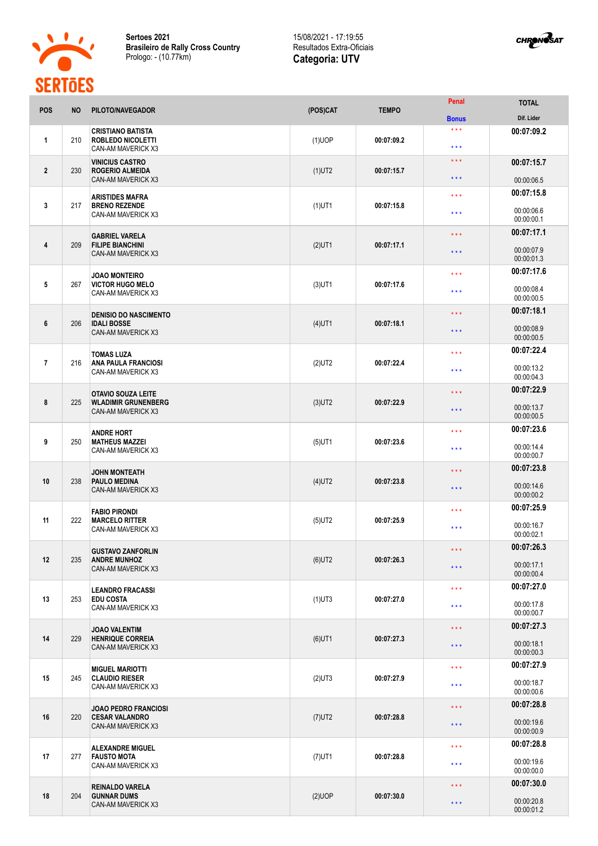

**Sertoes 2021 Brasileiro de Rally Cross Country** Prologo: - (10.77km)

## 15/08/2021 - 17:19:55 Resultados Extra-Oficiais **Categoria: UTV**



| <b>POS</b>     | <b>NO</b> | PILOTO/NAVEGADOR                                                           | (POS)CAT  | <b>TEMPO</b>        | Penal                                      | <b>TOTAL</b>             |
|----------------|-----------|----------------------------------------------------------------------------|-----------|---------------------|--------------------------------------------|--------------------------|
|                |           |                                                                            |           |                     | <b>Bonus</b>                               | Dif. Lider               |
| 1              | 210       | <b>CRISTIANO BATISTA</b><br><b>ROBLEDO NICOLETTI</b><br>CAN-AM MAVERICK X3 | $(1)$ UOP | 00:07:09.2          | $\star \star \star$<br>$\star \star \star$ | 00:07:09.2               |
| $\mathbf{2}$   | 230       | <b>VINICIUS CASTRO</b><br><b>ROGERIO ALMEIDA</b>                           | $(1)$ UT2 | 00:07:15.7          | $\star \star \star$                        | 00:07:15.7               |
|                |           | CAN-AM MAVERICK X3                                                         |           |                     | $\star \star \star$                        | 00:00:06.5               |
| 3              | 217       | ARISTIDES MAFRA<br><b>BRENO REZENDE</b>                                    | $(1)$ UT1 | 00:07:15.8          | $\star \star \star$                        | 00:07:15.8               |
|                |           | CAN-AM MAVERICK X3                                                         |           |                     | $***$                                      | 00:00:06.6<br>00:00:00.1 |
| 4              | 209       | <b>GABRIEL VARELA</b><br><b>FILIPE BIANCHINI</b>                           | $(2)$ UT1 | 00:07:17.1          | $***$                                      | 00:07:17.1               |
|                |           | CAN-AM MAVERICK X3                                                         |           |                     | $\star \star \star$                        | 00:00:07.9<br>00:00:01.3 |
|                |           | <b>JOAO MONTEIRO</b>                                                       |           |                     | $***$                                      | 00:07:17.6               |
| 5              | 267       | <b>VICTOR HUGO MELO</b><br>CAN-AM MAVERICK X3                              | $(3)$ UT1 | 00:07:17.6          | $***$                                      | 00:00:08.4<br>00:00:00.5 |
|                |           | <b>DENISIO DO NASCIMENTO</b>                                               |           |                     | $\star \star \star$                        | 00:07:18.1               |
| 6              | 206       | <b>IDALI BOSSE</b><br>CAN-AM MAVERICK X3                                   | $(4)$ UT1 | 00:07:18.1          | $\star \star \star$                        | 00:00:08.9<br>00:00:00.5 |
|                |           | <b>TOMAS LUZA</b>                                                          |           |                     | $***$                                      | 00:07:22.4               |
| $\overline{1}$ | 216       | <b>ANA PAULA FRANCIOSI</b><br>CAN-AM MAVERICK X3                           | $(2)$ UT2 | 00:07:22.4          | * * *                                      | 00:00:13.2<br>00:00:04.3 |
|                |           | <b>OTAVIO SOUZA LEITE</b>                                                  |           |                     | $\star \star \star$                        | 00:07:22.9               |
| 8              | 225       | <b>WLADIMIR GRUNENBERG</b><br>CAN-AM MAVERICK X3                           | $(3)$ UT2 | 00:07:22.9          | $\star \star \star$                        | 00:00:13.7<br>00:00:00.5 |
|                |           | <b>ANDRE HORT</b>                                                          |           |                     | $\star \star \star$                        | 00:07:23.6               |
| 9              | 250       | <b>MATHEUS MAZZEI</b><br>CAN-AM MAVERICK X3                                | $(5)$ UT1 | 00:07:23.6          | $***$                                      | 00:00:14.4<br>00:00:00.7 |
|                |           | <b>JOHN MONTEATH</b>                                                       |           | 00:07:23.8          | * * *                                      | 00:07:23.8               |
| 10             | 238       | <b>PAULO MEDINA</b><br>CAN-AM MAVERICK X3                                  | $(4)$ UT2 |                     | $\star \star \star$                        | 00:00:14.6<br>00:00:00.2 |
|                |           | <b>FABIO PIRONDI</b>                                                       |           | $\star \star \star$ | 00:07:25.9                                 |                          |
| 11             | 222       | <b>MARCELO RITTER</b><br>CAN-AM MAVERICK X3                                | $(5)$ UT2 | 00:07:25.9          | $\star \star \star$                        | 00:00:16.7<br>00:00:02.1 |
|                |           | <b>GUSTAVO ZANFORLIN</b>                                                   |           |                     | $\star \star \star$                        | 00:07:26.3               |
| 12             | 235       | <b>ANDRE MUNHOZ</b><br>CAN-AM MAVERICK X3                                  | $(6)$ UT2 | 00:07:26.3          | $\star$ $\star$ $\star$                    | 00:00:17.1<br>00:00:00.4 |
|                |           | <b>LEANDRO FRACASSI</b>                                                    |           |                     | $\star\star\star$                          | 00:07:27.0               |
| 13             | 253       | <b>EDU COSTA</b><br>CAN-AM MAVERICK X3                                     | $(1)$ UT3 | 00:07:27.0          | $\star \star \star$                        | 00:00:17.8<br>00:00:00.7 |
|                |           | <b>JOAO VALENTIM</b>                                                       |           |                     | $\star \star \star$                        | 00:07:27.3               |
| 14             | 229       | <b>HENRIQUE CORREIA</b><br>CAN-AM MAVERICK X3                              | $(6)$ UT1 | 00:07:27.3          | $\star\star\star$                          | 00:00:18.1<br>00:00:00.3 |
|                | 245       | <b>MIGUEL MARIOTTI</b><br><b>CLAUDIO RIESER</b><br>CAN-AM MAVERICK X3      | $(2)$ UT3 |                     | $\star$ $\star$ $\star$                    | 00:07:27.9               |
| 15             |           |                                                                            |           | 00:07:27.9          | $\star \star \star$                        | 00:00:18.7<br>00:00:00.6 |
|                |           | JOAO PEDRO FRANCIOSI                                                       |           |                     | $\star$ $\star$ $\star$                    | 00:07:28.8               |
| 16             | 220       | <b>CESAR VALANDRO</b><br>CAN-AM MAVERICK X3                                | $(7)$ UT2 | 00:07:28.8          | $\star\star\star$                          | 00:00:19.6<br>00:00:00.9 |
|                |           | <b>ALEXANDRE MIGUEL</b>                                                    |           |                     | $\star$ $\star$ $\star$                    | 00:07:28.8               |
| 17             | 277       | <b>FAUSTO MOTA</b><br>CAN-AM MAVERICK X3                                   | $(7)$ UT1 | 00:07:28.8          | $\star\star\star$                          | 00:00:19.6<br>00:00:00.0 |
|                |           | <b>REINALDO VARELA</b>                                                     |           |                     | $\star \star \star$                        | 00:07:30.0               |
| 18             | 204       | <b>GUNNAR DUMS</b><br>CAN-AM MAVERICK X3                                   | $(2)$ UOP | 00:07:30.0          | $\star$ $\star$ $\star$                    | 00:00:20.8<br>00:00:01.2 |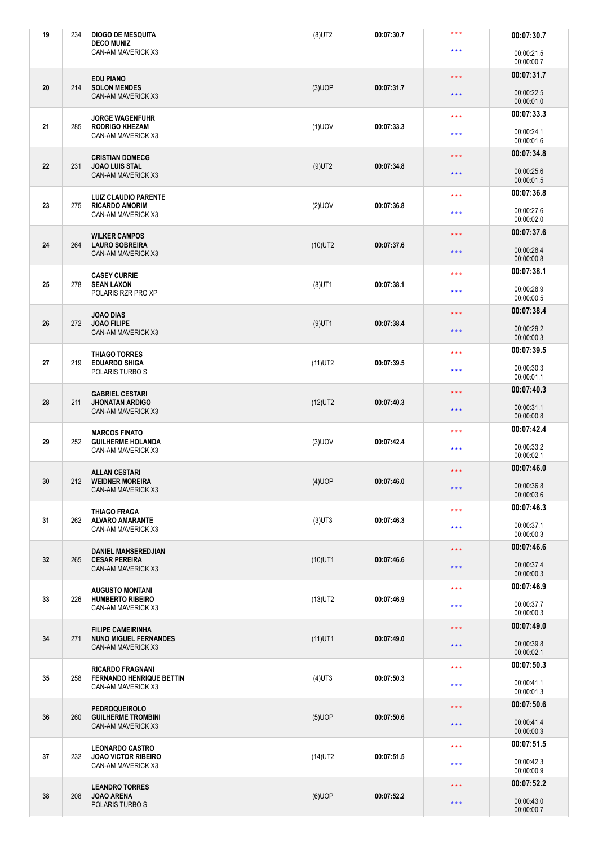| 19 | 234 | <b>DIOGO DE MESQUITA</b><br><b>DECO MUNIZ</b>                           | $(8)$ UT2  | 00:07:30.7 | $\star \star \star$     | 00:07:30.7               |
|----|-----|-------------------------------------------------------------------------|------------|------------|-------------------------|--------------------------|
|    |     | CAN-AM MAVERICK X3                                                      |            |            | $\star \star \star$     | 00:00:21.5<br>00:00:00.7 |
|    |     | <b>EDU PIANO</b>                                                        |            |            | $\star$ $\star$ $\star$ | 00:07:31.7               |
| 20 | 214 | <b>SOLON MENDES</b><br>CAN-AM MAVERICK X3                               | $(3)$ UOP  | 00:07:31.7 | $\star\star\star$       | 00:00:22.5<br>00:00:01.0 |
|    |     | <b>JORGE WAGENFUHR</b>                                                  |            |            | $\star$ $\star$ $\star$ | 00:07:33.3               |
| 21 | 285 | <b>RODRIGO KHEZAM</b><br>CAN-AM MAVERICK X3                             | $(1)$ UOV  | 00:07:33.3 | $\star\star\star$       | 00:00:24.1<br>00:00:01.6 |
|    |     | <b>CRISTIAN DOMECG</b>                                                  |            |            | $\star$ $\star$ $\star$ | 00:07:34.8               |
| 22 | 231 | <b>JOAO LUIS STAL</b><br>CAN-AM MAVERICK X3                             | $(9)$ UT2  | 00:07:34.8 | $\star$ $\star$ $\star$ | 00:00:25.6<br>00:00:01.5 |
| 23 | 275 | <b>LUIZ CLAUDIO PARENTE</b><br><b>RICARDO AMORIM</b>                    | $(2)$ UOV  | 00:07:36.8 | $\star \star \star$     | 00:07:36.8               |
|    |     | CAN-AM MAVERICK X3                                                      |            |            | $\star \star \star$     | 00:00:27.6<br>00:00:02.0 |
| 24 | 264 | <b>WILKER CAMPOS</b><br><b>LAURO SOBREIRA</b>                           | $(10)$ UT2 | 00:07:37.6 | $\star \star \star$     | 00:07:37.6               |
|    |     | CAN-AM MAVERICK X3                                                      |            |            | $\star$ $\star$ $\star$ | 00:00:28.4<br>00:00:00.8 |
|    |     | <b>CASEY CURRIE</b>                                                     |            |            | $\star$ $\star$ $\star$ | 00:07:38.1               |
| 25 | 278 | <b>SEAN LAXON</b><br>POLARIS RZR PRO XP                                 | $(8)$ UT1  | 00:07:38.1 | $\star \star \star$     | 00:00:28.9<br>00:00:00.5 |
|    |     | <b>JOAO DIAS</b>                                                        |            |            | $\star$ $\star$ $\star$ | 00:07:38.4               |
| 26 | 272 | <b>JOAO FILIPE</b><br>CAN-AM MAVERICK X3                                | $(9)$ UT1  | 00:07:38.4 | $\star$ $\star$ $\star$ | 00:00:29.2<br>00:00:00.3 |
|    |     | <b>THIAGO TORRES</b>                                                    |            |            | $\star \star \star$     | 00:07:39.5               |
| 27 | 219 | <b>EDUARDO SHIGA</b><br>POLARIS TURBO S                                 | $(11)$ UT2 | 00:07:39.5 | $\star \star \star$     | 00:00:30.3<br>00:00:01.1 |
|    |     | <b>GABRIEL CESTARI</b>                                                  |            |            | $\star$ $\star$ $\star$ | 00:07:40.3               |
| 28 | 211 | <b>JHONATAN ARDIGO</b><br>CAN-AM MAVERICK X3                            | $(12)$ UT2 | 00:07:40.3 | $\star$ $\star$ $\star$ | 00:00:31.1<br>00:00:00.8 |
| 29 | 252 | <b>MARCOS FINATO</b><br><b>GUILHERME HOLANDA</b>                        | $(3)$ UOV  | 00:07:42.4 | $\star$ $\star$ $\star$ | 00:07:42.4               |
|    |     | CAN-AM MAVERICK X3                                                      |            |            | $\star$ $\star$ $\star$ | 00:00:33.2<br>00:00:02.1 |
|    |     | <b>ALLAN CESTARI</b>                                                    |            |            | $\star \star \star$     | 00:07:46.0               |
| 30 | 212 | <b>WEIDNER MOREIRA</b><br>CAN-AM MAVERICK X3                            | $(4)$ UOP  | 00:07:46.0 | $\star$ $\star$ $\star$ | 00:00:36.8<br>00:00:03.6 |
|    |     | <b>THIAGO FRAGA</b>                                                     |            |            | $\star$ $\star$ $\star$ | 00:07:46.3               |
| 31 | 262 | <b>ALVARO AMARANTE</b><br>CAN-AM MAVERICK X3                            | $(3)$ UT3  | 00:07:46.3 | $\star \star \star$     | 00:00:37.1<br>00:00:00.3 |
|    |     | <b>DANIEL MAHSEREDJIAN</b>                                              |            |            | $\star$ $\star$ $\star$ | 00:07:46.6               |
| 32 | 265 | <b>CESAR PEREIRA</b><br>CAN-AM MAVERICK X3                              | $(10)$ UT1 | 00:07:46.6 | $\star$ $\star$ $\star$ | 00:00:37.4<br>00:00:00.3 |
|    |     | <b>AUGUSTO MONTANI</b>                                                  |            |            | $\star$ $\star$ $\star$ | 00:07:46.9               |
| 33 | 226 | <b>HUMBERTO RIBEIRO</b><br>CAN-AM MAVERICK X3                           | $(13)$ UT2 | 00:07:46.9 | $\star\star\star$       | 00:00:37.7<br>00:00:00.3 |
|    |     | <b>FILIPE CAMEIRINHA</b>                                                |            |            | $\star$ $\star$ $\star$ | 00:07:49.0               |
| 34 | 271 | <b>NUNO MIGUEL FERNANDES</b><br>CAN-AM MAVERICK X3                      | $(11)$ UT1 | 00:07:49.0 | $\star$ $\star$ $\star$ | 00:00:39.8<br>00:00:02.1 |
|    |     | <b>RICARDO FRAGNANI</b>                                                 |            |            | $\star$ $\star$ $\star$ | 00:07:50.3               |
| 35 | 258 | <b>FERNANDO HENRIQUE BETTIN</b><br>CAN-AM MAVERICK X3                   | $(4)$ UT3  | 00:07:50.3 | $\star$ $\star$ $\star$ | 00:00:41.1<br>00:00:01.3 |
|    |     | <b>PEDROQUEIROLO</b><br><b>GUILHERME TROMBINI</b><br>CAN-AM MAVERICK X3 | $(5)$ UOP  |            | $\star$ $\star$ $\star$ | 00:07:50.6               |
| 36 | 260 |                                                                         |            | 00:07:50.6 | $\star$ $\star$ $\star$ | 00:00:41.4<br>00:00:00.3 |
|    |     | <b>LEONARDO CASTRO</b>                                                  |            |            | $\star \star \star$     | 00:07:51.5               |
| 37 | 232 | <b>JOAO VICTOR RIBEIRO</b><br>CAN-AM MAVERICK X3                        | $(14)$ UT2 | 00:07:51.5 | $\star\star\star$       | 00:00:42.3<br>00:00:00.9 |
|    |     | <b>LEANDRO TORRES</b>                                                   |            |            | $\star$ $\star$ $\star$ | 00:07:52.2               |
| 38 | 208 | <b>JOAO ARENA</b>                                                       | $(6)$ UOP  | 00:07:52.2 |                         |                          |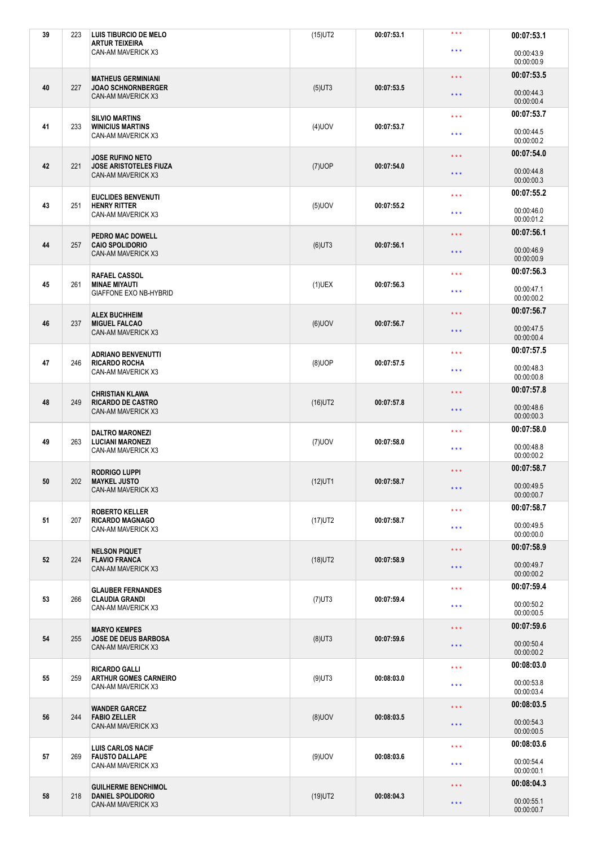|    | 223 | LUIS TIBURCIO DE MELO<br><b>ARTUR TEIXEIRA</b>         | $(15)$ UT2 | 00:07:53.1 | $***$                   | 00:07:53.1               |
|----|-----|--------------------------------------------------------|------------|------------|-------------------------|--------------------------|
|    |     | CAN-AM MAVERICK X3                                     |            |            | $* * *$                 | 00:00:43.9<br>00:00:00.9 |
|    |     | <b>MATHEUS GERMINIANI</b>                              |            |            | $\star \star \star$     | 00:07:53.5               |
| 40 | 227 | <b>JOAO SCHNORNBERGER</b><br>CAN-AM MAVERICK X3        | $(5)$ UT3  | 00:07:53.5 | $\star$ $\star$ $\star$ | 00:00:44.3<br>00:00:00.4 |
|    |     | <b>SILVIO MARTINS</b>                                  |            |            | $\star$ $\star$ $\star$ | 00:07:53.7               |
| 41 | 233 | <b>WINICIUS MARTINS</b><br>CAN-AM MAVERICK X3          | $(4)$ UOV  | 00:07:53.7 | $***$                   | 00:00:44.5<br>00:00:00.2 |
|    |     | <b>JOSE RUFINO NETO</b>                                |            |            | $\star$ $\star$ $\star$ | 00:07:54.0               |
| 42 | 221 | <b>JOSE ARISTOTELES FIUZA</b><br>CAN-AM MAVERICK X3    | $(7)$ UOP  | 00:07:54.0 | $\star \star \star$     | 00:00:44.8<br>00:00:00.3 |
|    |     | <b>EUCLIDES BENVENUTI</b>                              |            |            | $\star \star \star$     | 00:07:55.2               |
| 43 | 251 | <b>HENRY RITTER</b><br>CAN-AM MAVERICK X3              | $(5)$ UOV  | 00:07:55.2 | $\star$ $\star$ $\star$ | 00:00:46.0<br>00:00:01.2 |
|    |     | PEDRO MAC DOWELL                                       |            |            | $\star \star \star$     | 00:07:56.1               |
| 44 | 257 | <b>CAIO SPOLIDORIO</b><br>CAN-AM MAVERICK X3           | $(6)$ UT3  | 00:07:56.1 | $\star \star \star$     | 00:00:46.9<br>00:00:00.9 |
|    |     | RAFAEL CASSOL                                          |            |            | $\star\star\star$       | 00:07:56.3               |
| 45 | 261 | <b>MINAE MIYAUTI</b><br><b>GIAFFONE EXO NB-HYBRID</b>  | $(1)$ UEX  | 00:07:56.3 | $\star \star \star$     | 00:00:47.1<br>00:00:00.2 |
|    |     | <b>ALEX BUCHHEIM</b>                                   |            |            | $\star$ $\star$ $\star$ | 00:07:56.7               |
| 46 | 237 | <b>MIGUEL FALCAO</b><br>CAN-AM MAVERICK X3             | $(6)$ UOV  | 00:07:56.7 | $\star \star \star$     | 00:00:47.5<br>00:00:00.4 |
|    |     | <b>ADRIANO BENVENUTTI</b>                              |            |            | $\star \star \star$     | 00:07:57.5               |
| 47 | 246 | <b>RICARDO ROCHA</b><br>CAN-AM MAVERICK X3             | $(8)$ UOP  | 00:07:57.5 | $\star \star \star$     | 00:00:48.3<br>00:00:00.8 |
|    |     | <b>CHRISTIAN KLAWA</b>                                 |            |            | $\star\star\star$       | 00:07:57.8               |
| 48 | 249 | <b>RICARDO DE CASTRO</b><br>CAN-AM MAVERICK X3         | $(16)$ UT2 | 00:07:57.8 | $\star \star \star$     | 00:00:48.6<br>00:00:00.3 |
|    |     | <b>DALTRO MARONEZI</b>                                 |            |            | $\star \star \star$     | 00:07:58.0               |
| 49 | 263 | <b>LUCIANI MARONEZI</b><br>CAN-AM MAVERICK X3          | $(7)$ UOV  | 00:07:58.0 | $\star$ $\star$ $\star$ | 00:00:48.8<br>00:00:00.2 |
|    |     |                                                        |            |            |                         |                          |
|    |     | <b>RODRIGO LUPPI</b>                                   |            |            | $\star$ $\star$ $\star$ | 00:07:58.7               |
| 50 | 202 | <b>MAYKEL JUSTO</b><br>CAN-AM MAVERICK X3              | $(12)$ UT1 | 00:07:58.7 | $\star \star \star$     | 00:00:49.5<br>00:00:00.7 |
|    |     | <b>ROBERTO KELLER</b>                                  |            |            | $\star$ $\star$ $\star$ | 00:07:58.7               |
| 51 | 207 | <b>RICARDO MAGNAGO</b><br>CAN-AM MAVERICK X3           | $(17)$ UT2 | 00:07:58.7 | $\star \star \star$     | 00:00:49.5<br>00:00:00.0 |
|    |     | <b>NELSON PIQUET</b>                                   |            |            | $\star\star\star$       | 00:07:58.9               |
| 52 | 224 | <b>FLAVIO FRANCA</b><br>CAN-AM MAVERICK X3             | $(18)$ UT2 | 00:07:58.9 | $***$                   | 00:00:49.7<br>00:00:00.2 |
|    |     | <b>GLAUBER FERNANDES</b>                               |            |            | $\star$ $\star$ $\star$ | 00:07:59.4               |
| 53 | 266 | <b>CLAUDIA GRANDI</b><br>CAN-AM MAVERICK X3            | $(7)$ UT3  | 00:07:59.4 | $\star$ $\star$ $\star$ | 00:00:50.2<br>00:00:00.5 |
|    |     | <b>MARYO KEMPES</b>                                    |            |            | $\star\star\star$       | 00:07:59.6               |
| 54 | 255 | <b>JOSE DE DEUS BARBOSA</b><br>CAN-AM MAVERICK X3      | $(8)$ UT3  | 00:07:59.6 | $\star \star \star$     | 00:00:50.4<br>00:00:00.2 |
|    |     | <b>RICARDO GALLI</b>                                   |            |            | $\star$ $\star$ $\star$ | 00:08:03.0               |
| 55 | 259 | <b>ARTHUR GOMES CARNEIRO</b><br>CAN-AM MAVERICK X3     | $(9)$ UT3  | 00:08:03.0 | $\star$ $\star$ $\star$ | 00:00:53.8<br>00:00:03.4 |
|    |     | <b>WANDER GARCEZ</b>                                   |            |            | $\star\star\star$       | 00:08:03.5               |
| 56 | 244 | <b>FABIO ZELLER</b><br>CAN-AM MAVERICK X3              | $(8)$ UOV  | 00:08:03.5 | $\star$ $\star$ $\star$ | 00:00:54.3<br>00:00:00.5 |
|    |     | <b>LUIS CARLOS NACIF</b>                               |            |            | $\star \star \star$     | 00:08:03.6               |
| 57 | 269 | <b>FAUSTO DALLAPE</b><br>CAN-AM MAVERICK X3            | $(9)$ UOV  | 00:08:03.6 | $\star$ $\star$ $\star$ | 00:00:54.4<br>00:00:00.1 |
| 58 | 218 | <b>GUILHERME BENCHIMOL</b><br><b>DANIEL SPOLIDORIO</b> | $(19)$ UT2 | 00:08:04.3 | $***$                   | 00:08:04.3               |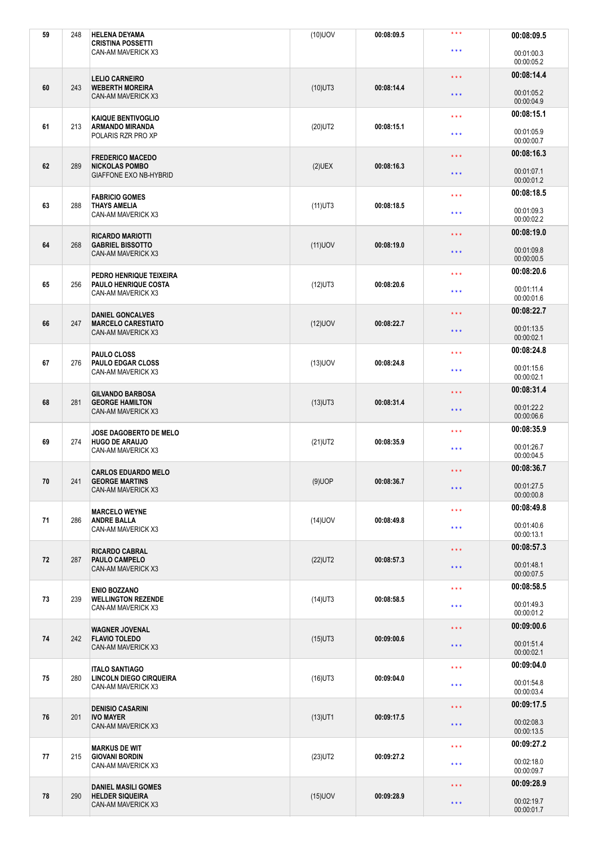| 59 | 248 | <b>HELENA DEYAMA</b><br><b>CRISTINA POSSETTI</b>                  | $(10)$ UOV | 00:08:09.5 | $***$                   | 00:08:09.5               |
|----|-----|-------------------------------------------------------------------|------------|------------|-------------------------|--------------------------|
|    |     | CAN-AM MAVERICK X3                                                |            |            | $\star \star \star$     | 00:01:00.3<br>00:00:05.2 |
|    |     | <b>LELIO CARNEIRO</b>                                             |            |            | $\star \star \star$     | 00:08:14.4               |
| 60 | 243 | <b>WEBERTH MOREIRA</b><br><b>CAN-AM MAVERICK X3</b>               | $(10)$ UT3 | 00:08:14.4 | $\star$ $\star$ $\star$ | 00:01:05.2<br>00:00:04.9 |
|    |     | KAIQUE BENTIVOGLIO                                                |            |            | $\star \star \star$     | 00:08:15.1               |
| 61 | 213 | <b>ARMANDO MIRANDA</b><br>POLARIS RZR PRO XP                      | $(20)$ UT2 | 00:08:15.1 | $***$                   | 00:01:05.9<br>00:00:00.7 |
|    |     | <b>FREDERICO MACEDO</b>                                           |            |            | $\star$ $\star$ $\star$ | 00:08:16.3               |
| 62 | 289 | <b>NICKOLAS POMBO</b><br>GIAFFONE EXO NB-HYBRID                   | $(2)$ UEX  | 00:08:16.3 | $\star \star \star$     | 00:01:07.1<br>00:00:01.2 |
|    |     | <b>FABRICIO GOMES</b>                                             |            |            | $\star \star \star$     | 00:08:18.5               |
| 63 | 288 | <b>THAYS AMELIA</b><br>CAN-AM MAVERICK X3                         | $(11)$ UT3 | 00:08:18.5 | $\star$ $\star$ $\star$ | 00:01:09.3<br>00:00:02.2 |
| 64 | 268 | <b>RICARDO MARIOTTI</b><br><b>GABRIEL BISSOTTO</b>                |            | 00:08:19.0 | $\star \star \star$     | 00:08:19.0               |
|    |     | CAN-AM MAVERICK X3                                                | $(11)$ UOV |            | $\star \star \star$     | 00:01:09.8<br>00:00:00.5 |
|    |     | PEDRO HENRIQUE TEIXEIRA                                           |            |            | $***$                   | 00:08:20.6               |
| 65 | 256 | PAULO HENRIQUE COSTA<br>CAN-AM MAVERICK X3                        | $(12)$ UT3 | 00:08:20.6 | $\star \star \star$     | 00:01:11.4<br>00:00:01.6 |
|    |     | <b>DANIEL GONCALVES</b>                                           |            |            | $\star$ $\star$ $\star$ | 00:08:22.7               |
| 66 | 247 | <b>MARCELO CARESTIATO</b><br>CAN-AM MAVERICK X3                   | $(12)$ UOV | 00:08:22.7 | $\star \star \star$     | 00:01:13.5<br>00:00:02.1 |
|    |     | PAULO CLOSS                                                       |            |            | $\star \star \star$     | 00:08:24.8               |
| 67 | 276 | <b>PAULO EDGAR CLOSS</b><br>CAN-AM MAVERICK X3                    | $(13)$ UOV | 00:08:24.8 | $\star \star \star$     | 00:01:15.6<br>00:00:02.1 |
|    |     | <b>GILVANDO BARBOSA</b>                                           |            |            | $\star\star\star$       | 00:08:31.4               |
| 68 | 281 | <b>GEORGE HAMILTON</b><br>CAN-AM MAVERICK X3                      | $(13)$ UT3 | 00:08:31.4 | $\star \star \star$     | 00:01:22.2<br>00:00:06.6 |
|    |     | <b>JOSE DAGOBERTO DE MELO</b>                                     |            |            | $\star \star \star$     | 00:08:35.9               |
| 69 | 274 | <b>HUGO DE ARAUJO</b><br>CAN-AM MAVERICK X3                       | $(21)$ UT2 | 00:08:35.9 | $\star$ $\star$ $\star$ | 00:01:26.7<br>00:00:04.5 |
|    |     | <b>CARLOS EDUARDO MELO</b>                                        |            |            | $\star$ $\star$ $\star$ | 00:08:36.7               |
| 70 | 241 | <b>GEORGE MARTINS</b><br><b>CAN-AM MAVERICK X3</b>                | $(9)$ UOP  | 00:08:36.7 | $\star \star \star$     | 00:01:27.5<br>00:00:00.8 |
|    |     | <b>MARCELO WEYNE</b>                                              |            |            | $\star$ $\star$ $\star$ | 00:08:49.8               |
| 71 | 286 | <b>ANDRE BALLA</b><br>CAN-AM MAVERICK X3                          | $(14)$ UOV | 00:08:49.8 | $\star \star \star$     | 00:01:40.6<br>00:00:13.1 |
|    |     | <b>RICARDO CABRAL</b>                                             |            |            | $\star\star\star$       | 00:08:57.3               |
| 72 | 287 | PAULO CAMPELO<br>CAN-AM MAVERICK X3                               | $(22)$ UT2 | 00:08:57.3 | $***$                   | 00:01:48.1<br>00:00:07.5 |
|    |     | <b>ENIO BOZZANO</b>                                               |            |            | $\star\star\star$       | 00:08:58.5               |
| 73 | 239 | <b>WELLINGTON REZENDE</b><br>CAN-AM MAVERICK X3                   | $(14)$ UT3 | 00:08:58.5 | $\star$ $\star$ $\star$ | 00:01:49.3<br>00:00:01.2 |
|    |     | <b>WAGNER JOVENAL</b>                                             |            |            | $\star\star\star$       | 00:09:00.6               |
| 74 | 242 | <b>FLAVIO TOLEDO</b><br>CAN-AM MAVERICK X3                        | $(15)$ UT3 | 00:09:00.6 | $\star \star \star$     | 00:01:51.4<br>00:00:02.1 |
|    |     | <b>ITALO SANTIAGO</b>                                             |            |            | $\star\star\star$       | 00:09:04.0               |
| 75 | 280 | LINCOLN DIEGO CIRQUEIRA<br>CAN-AM MAVERICK X3                     | $(16)$ UT3 | 00:09:04.0 | $\star \star \star$     | 00:01:54.8<br>00:00:03.4 |
|    |     | <b>DENISIO CASARINI</b><br><b>IVO MAYER</b><br>CAN-AM MAVERICK X3 | $(13)$ UT1 | 00:09:17.5 | $\star\star\star$       | 00:09:17.5               |
| 76 | 201 |                                                                   |            |            | $\star$ $\star$ $\star$ | 00:02:08.3<br>00:00:13.5 |
|    |     | <b>MARKUS DE WIT</b>                                              |            |            | $\star \star \star$     | 00:09:27.2               |
| 77 | 215 | <b>GIOVANI BORDIN</b><br>CAN-AM MAVERICK X3                       | $(23)$ UT2 | 00:09:27.2 | $\star$ $\star$ $\star$ | 00:02:18.0               |
|    |     |                                                                   |            |            |                         | 00:00:09.7               |
|    |     | <b>DANIEL MASILI GOMES</b>                                        |            |            | $***$                   | 00:09:28.9               |